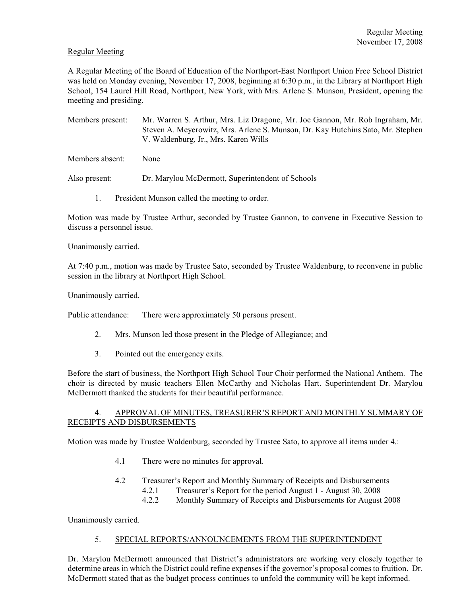### Regular Meeting

A Regular Meeting of the Board of Education of the Northport-East Northport Union Free School District was held on Monday evening, November 17, 2008, beginning at 6:30 p.m., in the Library at Northport High School, 154 Laurel Hill Road, Northport, New York, with Mrs. Arlene S. Munson, President, opening the meeting and presiding.

Members present: Mr. Warren S. Arthur, Mrs. Liz Dragone, Mr. Joe Gannon, Mr. Rob Ingraham, Mr. Steven A. Meyerowitz, Mrs. Arlene S. Munson, Dr. Kay Hutchins Sato, Mr. Stephen V. Waldenburg, Jr., Mrs. Karen Wills

Members absent: None

Also present: Dr. Marylou McDermott, Superintendent of Schools

1. President Munson called the meeting to order.

Motion was made by Trustee Arthur, seconded by Trustee Gannon, to convene in Executive Session to discuss a personnel issue.

Unanimously carried.

At 7:40 p.m., motion was made by Trustee Sato, seconded by Trustee Waldenburg, to reconvene in public session in the library at Northport High School.

Unanimously carried.

Public attendance: There were approximately 50 persons present.

- 2. Mrs. Munson led those present in the Pledge of Allegiance; and
- 3. Pointed out the emergency exits.

Before the start of business, the Northport High School Tour Choir performed the National Anthem. The choir is directed by music teachers Ellen McCarthy and Nicholas Hart. Superintendent Dr. Marylou McDermott thanked the students for their beautiful performance.

#### 4. APPROVAL OF MINUTES, TREASURER'S REPORT AND MONTHLY SUMMARY OF RECEIPTS AND DISBURSEMENTS

Motion was made by Trustee Waldenburg, seconded by Trustee Sato, to approve all items under 4.:

- 4.1 There were no minutes for approval.
- 4.2 Treasurer's Report and Monthly Summary of Receipts and Disbursements

4.2.1 Treasurer's Report for the period August 1 - August 30, 2008

4.2.2 Monthly Summary of Receipts and Disbursements for August 2008

Unanimously carried.

#### 5. SPECIAL REPORTS/ANNOUNCEMENTS FROM THE SUPERINTENDENT

Dr. Marylou McDermott announced that District's administrators are working very closely together to determine areas in which the District could refine expensesif the governor's proposal comes to fruition. Dr. McDermott stated that as the budget process continues to unfold the community will be kept informed.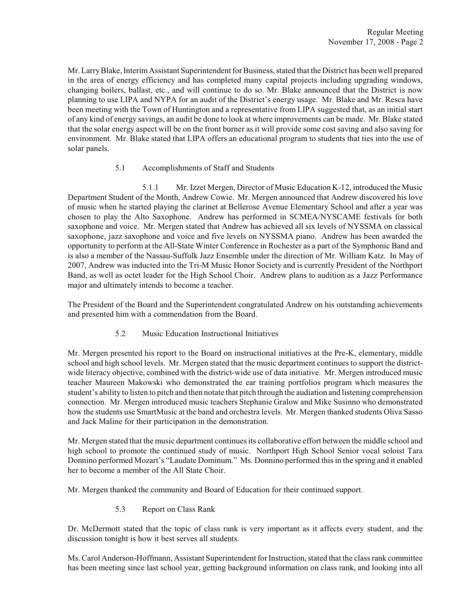Mr. Larry Blake, Interim Assistant Superintendent for Business, stated that the District has been well prepared in the area of energy efficiency and has completed many capital projects including upgrading windows, changing boilers, ballast, etc., and will continue to do so. Mr. Blake announced that the District is now planning to use LIPA and NYPA for an audit of the District's energy usage. Mr. Blake and Mr. Resca have been meeting with the Town of Huntington and a representative from LIPA suggested that, as an initial start of any kind of energy savings, an audit be done to look at where improvements can be made. Mr. Blake stated that the solar energy aspect will be on the front burner as it will provide some cost saving and also saving for environment. Mr. Blake stated that LIPA offers an educational program to students that ties into the use of solar panels.

# 5.1 Accomplishments of Staff and Students

5.1.1 Mr. Izzet Mergen, Director of Music Education K-12, introduced the Music Department Student of the Month, Andrew Cowie. Mr. Mergen announced that Andrew discovered his love of music when he started playing the clarinet at Bellerose Avenue Elementary School and after a year was chosen to play the Alto Saxophone. Andrew has performed in SCMEA/NYSCAME festivals for both saxophone and voice. Mr. Mergen stated that Andrew has achieved all six levels of NYSSMA on classical saxophone, jazz saxophone and voice and five levels on NYSSMA piano. Andrew has been awarded the opportunity to perform at the All-State Winter Conference in Rochester as a part of the Symphonic Band and is also a member of the Nassau-Suffolk Jazz Ensemble under the direction of Mr. William Katz. In May of 2007, Andrew was inducted into the Tri-M Music Honor Society and is currently President of the Northport Band, as well as octet leader for the High School Choir. Andrew plans to audition as a Jazz Performance major and ultimately intends to become a teacher.

The President of the Board and the Superintendent congratulated Andrew on his outstanding achievements and presented him with a commendation from the Board.

5.2 Music Education Instructional Initiatives

Mr. Mergen presented his report to the Board on instructional initiatives at the Pre-K, elementary, middle school and high school levels. Mr. Mergen stated that the music department continues to support the districtwide literacy objective, combined with the district-wide use of data initiative. Mr. Mergen introduced music teacher Maureen Makowski who demonstrated the ear training portfolios program which measures the student's ability to listen to pitch and then notate that pitch through the audiation and listening comprehension connection. Mr. Mergen introduced music teachers Stephanie Gralow and Mike Susinno who demonstrated how the students use SmartMusic at the band and orchestra levels. Mr. Mergen thanked students Oliva Sasso and Jack Maline for their participation in the demonstration.

Mr. Mergen stated that the music department continues its collaborative effort between the middle school and high school to promote the continued study of music. Northport High School Senior vocal soloist Tara Donnino performed Mozart's "Laudate Dominum." Ms. Donnino performed this in the spring and it enabled her to become a member of the All State Choir.

Mr. Mergen thanked the community and Board of Education for their continued support.

5.3 Report on Class Rank

Dr. McDermott stated that the topic of class rank is very important as it affects every student, and the discussion tonight is how it best serves all students.

Ms. Carol Anderson-Hoffmann, Assistant Superintendent for Instruction, stated that the class rank committee has been meeting since last school year, getting background information on class rank, and looking into all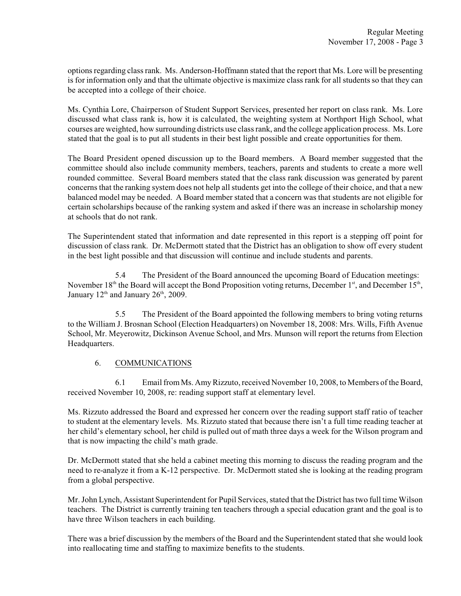options regarding class rank. Ms. Anderson-Hoffmann stated that the report that Ms. Lore will be presenting is for information only and that the ultimate objective is maximize class rank for all students so that they can be accepted into a college of their choice.

Ms. Cynthia Lore, Chairperson of Student Support Services, presented her report on class rank. Ms. Lore discussed what class rank is, how it is calculated, the weighting system at Northport High School, what courses are weighted, how surrounding districts use class rank, and the college application process. Ms. Lore stated that the goal is to put all students in their best light possible and create opportunities for them.

The Board President opened discussion up to the Board members. A Board member suggested that the committee should also include community members, teachers, parents and students to create a more well rounded committee. Several Board members stated that the class rank discussion was generated by parent concerns that the ranking system does not help all students get into the college of their choice, and that a new balanced model may be needed. A Board member stated that a concern was that students are not eligible for certain scholarships because of the ranking system and asked if there was an increase in scholarship money at schools that do not rank.

The Superintendent stated that information and date represented in this report is a stepping off point for discussion of class rank. Dr. McDermott stated that the District has an obligation to show off every student in the best light possible and that discussion will continue and include students and parents.

5.4 The President of the Board announced the upcoming Board of Education meetings: November 18<sup>th</sup> the Board will accept the Bond Proposition voting returns, December 1<sup>st</sup>, and December 15<sup>th</sup>, January  $12<sup>th</sup>$  and January  $26<sup>th</sup>$ , 2009.

5.5 The President of the Board appointed the following members to bring voting returns to the William J. Brosnan School (Election Headquarters) on November 18, 2008: Mrs. Wills, Fifth Avenue School, Mr. Meyerowitz, Dickinson Avenue School, and Mrs. Munson will report the returns from Election Headquarters.

### 6. COMMUNICATIONS

6.1 Email from Ms. Amy Rizzuto, received November 10, 2008, to Members of the Board, received November 10, 2008, re: reading support staff at elementary level.

Ms. Rizzuto addressed the Board and expressed her concern over the reading support staff ratio of teacher to student at the elementary levels. Ms. Rizzuto stated that because there isn't a full time reading teacher at her child's elementary school, her child is pulled out of math three days a week for the Wilson program and that is now impacting the child's math grade.

Dr. McDermott stated that she held a cabinet meeting this morning to discuss the reading program and the need to re-analyze it from a K-12 perspective. Dr. McDermott stated she is looking at the reading program from a global perspective.

Mr. John Lynch, Assistant Superintendent for Pupil Services, stated that the District has two full time Wilson teachers. The District is currently training ten teachers through a special education grant and the goal is to have three Wilson teachers in each building.

There was a brief discussion by the members of the Board and the Superintendent stated that she would look into reallocating time and staffing to maximize benefits to the students.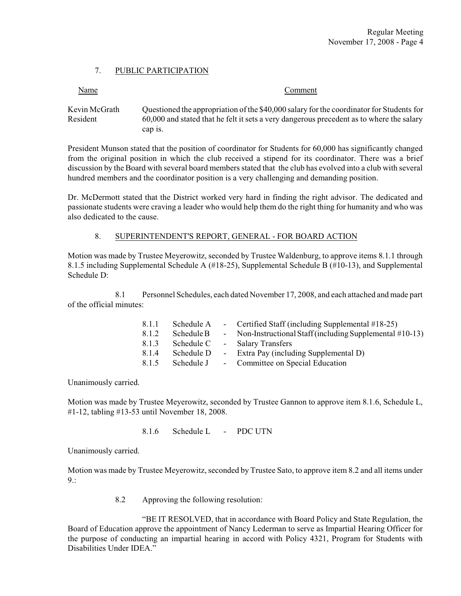## 7. PUBLIC PARTICIPATION

| Name | .)omment |
|------|----------|
|      |          |

Kevin McGrath Questioned the appropriation of the \$40,000 salary for the coordinator for Students for Resident 60,000 and stated that he felt it sets a very dangerous precedent as to where the salary cap is.

President Munson stated that the position of coordinator for Students for 60,000 has significantly changed from the original position in which the club received a stipend for its coordinator. There was a brief discussion by the Board with several board members stated that the club has evolved into a club with several hundred members and the coordinator position is a very challenging and demanding position.

Dr. McDermott stated that the District worked very hard in finding the right advisor. The dedicated and passionate students were craving a leader who would help them do the right thing for humanity and who was also dedicated to the cause.

### 8. SUPERINTENDENT'S REPORT, GENERAL - FOR BOARD ACTION

Motion was made by Trustee Meyerowitz, seconded by Trustee Waldenburg, to approve items 8.1.1 through 8.1.5 including Supplemental Schedule A (#18-25), Supplemental Schedule B (#10-13), and Supplemental Schedule D:

8.1 Personnel Schedules, each dated November 17, 2008, and each attached and made part of the official minutes:

| 8.1.1 | Schedule A | - Certified Staff (including Supplemental #18-25)         |
|-------|------------|-----------------------------------------------------------|
| 8.1.2 | Schedule B | - Non-Instructional Staff (including Supplemental #10-13) |
| 8.1.3 | Schedule C | - Salary Transfers                                        |
| 8.1.4 | Schedule D | - Extra Pay (including Supplemental D)                    |
| 8.1.5 | Schedule J | - Committee on Special Education                          |

Unanimously carried.

Motion was made by Trustee Meyerowitz, seconded by Trustee Gannon to approve item 8.1.6, Schedule L, #1-12, tabling #13-53 until November 18, 2008.

8.1.6 Schedule L - PDC UTN

Unanimously carried.

Motion was made by Trustee Meyerowitz, seconded by Trustee Sato, to approve item 8.2 and all items under  $9:$ 

8.2 Approving the following resolution:

"BE IT RESOLVED, that in accordance with Board Policy and State Regulation, the Board of Education approve the appointment of Nancy Lederman to serve as Impartial Hearing Officer for the purpose of conducting an impartial hearing in accord with Policy 4321, Program for Students with Disabilities Under IDEA<sup>"</sup>